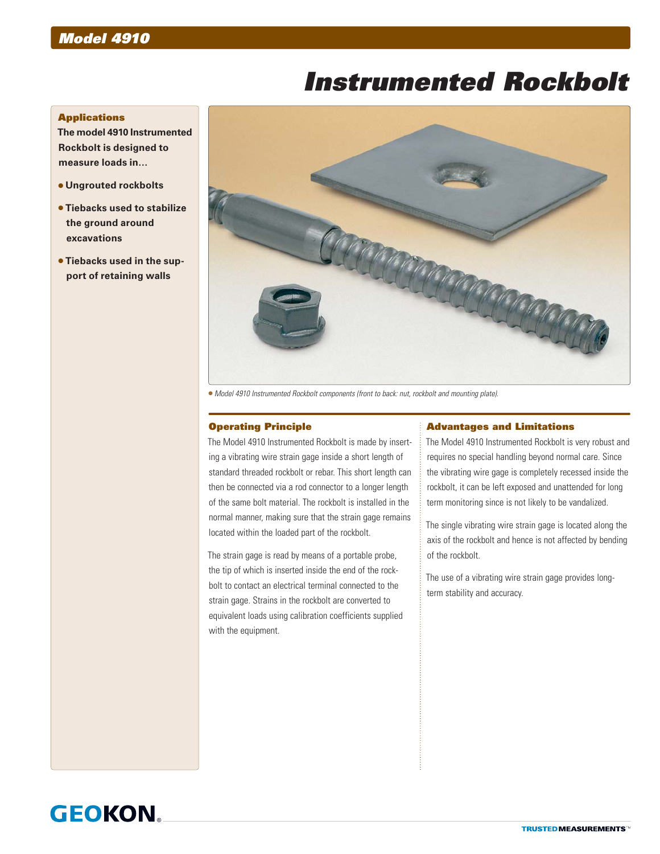# *Model 4910*

# *Instrumented Rockbolt*

### **Applications**

**The model 4910 Instrumented Rockbolt is designed to measure loads in…**

- **Ungrouted rockbolts**
- **Tiebacks used to stabilize the ground around excavations**
- **Tiebacks used in the support of retaining walls**



*Model 4910 Instrumented Rockbolt components (front to back: nut, rockbolt and mounting plate).*

## Operating Principle

The Model 4910 Instrumented Rockbolt is made by inserting a vibrating wire strain gage inside a short length of standard threaded rockbolt or rebar. This short length can then be connected via a rod connector to a longer length of the same bolt material. The rockbolt is installed in the normal manner, making sure that the strain gage remains located within the loaded part of the rockbolt.

The strain gage is read by means of a portable probe, the tip of which is inserted inside the end of the rockbolt to contact an electrical terminal connected to the strain gage. Strains in the rockbolt are converted to equivalent loads using calibration coefficients supplied with the equipment.

#### Advantages and Limitations

The Model 4910 Instrumented Rockbolt is very robust and requires no special handling beyond normal care. Since the vibrating wire gage is completely recessed inside the rockbolt, it can be left exposed and unattended for long term monitoring since is not likely to be vandalized.

The single vibrating wire strain gage is located along the axis of the rockbolt and hence is not affected by bending of the rockbolt.

The use of a vibrating wire strain gage provides longterm stability and accuracy.

# **GEOKON**